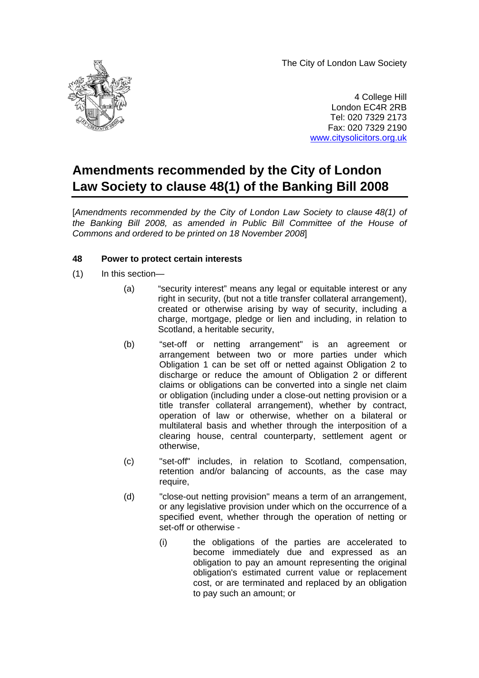The City of London Law Society



4 College Hill London EC4R 2RB Tel: 020 7329 2173 Fax: 020 7329 2190 [www.citysolicitors.org.uk](http://www.citysolicitors.org.uk/)

# **Amendments recommended by the City of London Law Society to clause 48(1) of the Banking Bill 2008**

[*Amendments recommended by the City of London Law Society to clause 48(1) of the Banking Bill 2008, as amended in Public Bill Committee of the House of Commons and ordered to be printed on 18 November 2008*]

## **48 Power to protect certain interests**

- (1) In this section—
	- (a) "security interest" means any legal or equitable interest or any right in security, (but not a title transfer collateral arrangement), created or otherwise arising by way of security, including a charge, mortgage, pledge or lien and including, in relation to Scotland, a heritable security,
	- (b) "set-off or netting arrangement" is an agreement or arrangement between two or more parties under which Obligation 1 can be set off or netted against Obligation 2 to discharge or reduce the amount of Obligation 2 or different claims or obligations can be converted into a single net claim or obligation (including under a close-out netting provision or a title transfer collateral arrangement), whether by contract, operation of law or otherwise, whether on a bilateral or multilateral basis and whether through the interposition of a clearing house, central counterparty, settlement agent or otherwise,
	- (c) "set-off" includes, in relation to Scotland, compensation, retention and/or balancing of accounts, as the case may require,
	- (d) "close-out netting provision" means a term of an arrangement, or any legislative provision under which on the occurrence of a specified event, whether through the operation of netting or set-off or otherwise -
		- (i) the obligations of the parties are accelerated to become immediately due and expressed as an obligation to pay an amount representing the original obligation's estimated current value or replacement cost, or are terminated and replaced by an obligation to pay such an amount; or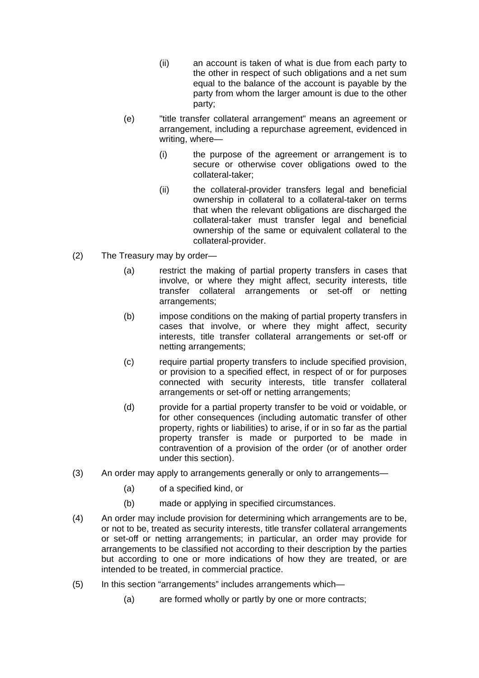- (ii) an account is taken of what is due from each party to the other in respect of such obligations and a net sum equal to the balance of the account is payable by the party from whom the larger amount is due to the other party;
- (e) "title transfer collateral arrangement" means an agreement or arrangement, including a repurchase agreement, evidenced in writing, where—
	- (i) the purpose of the agreement or arrangement is to secure or otherwise cover obligations owed to the collateral-taker;
	- (ii) the collateral-provider transfers legal and beneficial ownership in collateral to a collateral-taker on terms that when the relevant obligations are discharged the collateral-taker must transfer legal and beneficial ownership of the same or equivalent collateral to the collateral-provider.
- (2) The Treasury may by order—
	- (a) restrict the making of partial property transfers in cases that involve, or where they might affect, security interests, title transfer collateral arrangements or set-off or netting arrangements;
	- (b) impose conditions on the making of partial property transfers in cases that involve, or where they might affect, security interests, title transfer collateral arrangements or set-off or netting arrangements;
	- (c) require partial property transfers to include specified provision, or provision to a specified effect, in respect of or for purposes connected with security interests, title transfer collateral arrangements or set-off or netting arrangements;
	- (d) provide for a partial property transfer to be void or voidable, or for other consequences (including automatic transfer of other property, rights or liabilities) to arise, if or in so far as the partial property transfer is made or purported to be made in contravention of a provision of the order (or of another order under this section).
- (3) An order may apply to arrangements generally or only to arrangements—
	- (a) of a specified kind, or
	- (b) made or applying in specified circumstances.
- (4) An order may include provision for determining which arrangements are to be, or not to be, treated as security interests, title transfer collateral arrangements or set-off or netting arrangements; in particular, an order may provide for arrangements to be classified not according to their description by the parties but according to one or more indications of how they are treated, or are intended to be treated, in commercial practice.
- (5) In this section "arrangements" includes arrangements which—
	- (a) are formed wholly or partly by one or more contracts;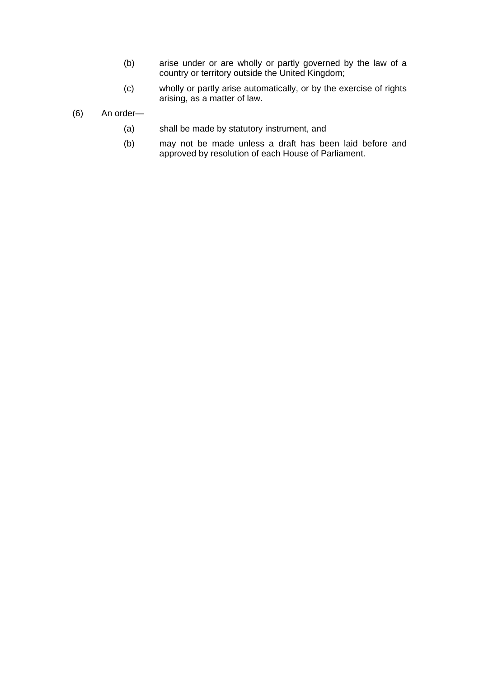- (b) arise under or are wholly or partly governed by the law of a country or territory outside the United Kingdom;
- (c) wholly or partly arise automatically, or by the exercise of rights arising, as a matter of law.
- (6) An order—
	- (a) shall be made by statutory instrument, and
	- (b) may not be made unless a draft has been laid before and approved by resolution of each House of Parliament.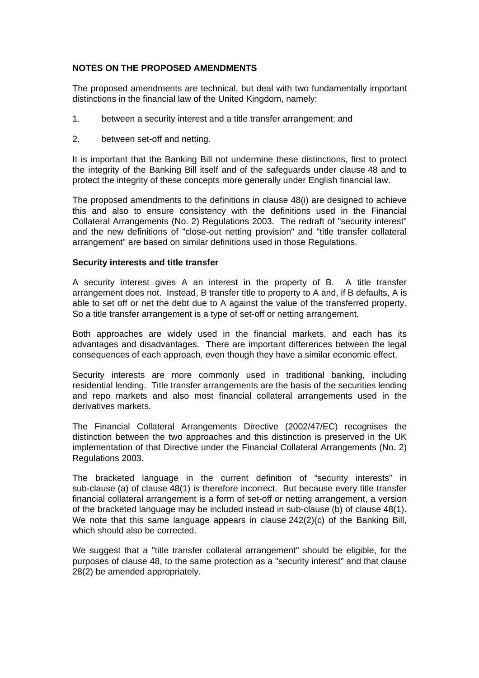## **NOTES ON THE PROPOSED AMENDMENTS**

The proposed amendments are technical, but deal with two fundamentally important distinctions in the financial law of the United Kingdom, namely:

- 1. between a security interest and a title transfer arrangement; and
- 2. between set-off and netting.

It is important that the Banking Bill not undermine these distinctions, first to protect the integrity of the Banking Bill itself and of the safeguards under clause 48 and to protect the integrity of these concepts more generally under English financial law.

The proposed amendments to the definitions in clause 48(i) are designed to achieve this and also to ensure consistency with the definitions used in the Financial Collateral Arrangements (No. 2) Regulations 2003. The redraft of "security interest" and the new definitions of "close-out netting provision" and "title transfer collateral arrangement" are based on similar definitions used in those Regulations.

### **Security interests and title transfer**

A security interest gives A an interest in the property of B. A title transfer arrangement does not. Instead, B transfer title to property to A and, if B defaults, A is able to set off or net the debt due to A against the value of the transferred property. So a title transfer arrangement is a type of set-off or netting arrangement.

Both approaches are widely used in the financial markets, and each has its advantages and disadvantages. There are important differences between the legal consequences of each approach, even though they have a similar economic effect.

Security interests are more commonly used in traditional banking, including residential lending. Title transfer arrangements are the basis of the securities lending and repo markets and also most financial collateral arrangements used in the derivatives markets.

The Financial Collateral Arrangements Directive (2002/47/EC) recognises the distinction between the two approaches and this distinction is preserved in the UK implementation of that Directive under the Financial Collateral Arrangements (No. 2) Regulations 2003.

The bracketed language in the current definition of "security interests" in sub-clause (a) of clause 48(1) is therefore incorrect. But because every title transfer financial collateral arrangement is a form of set-off or netting arrangement, a version of the bracketed language may be included instead in sub-clause (b) of clause 48(1). We note that this same language appears in clause 242(2)(c) of the Banking Bill, which should also be corrected.

We suggest that a "title transfer collateral arrangement" should be eligible, for the purposes of clause 48, to the same protection as a "security interest" and that clause 28(2) be amended appropriately.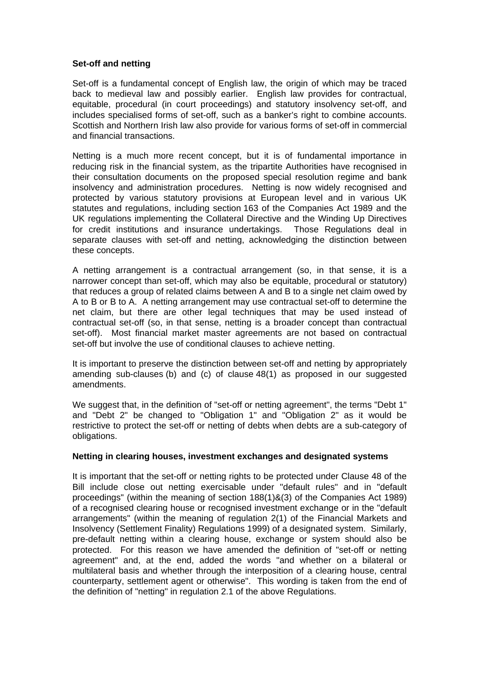### **Set-off and netting**

Set-off is a fundamental concept of English law, the origin of which may be traced back to medieval law and possibly earlier. English law provides for contractual, equitable, procedural (in court proceedings) and statutory insolvency set-off, and includes specialised forms of set-off, such as a banker's right to combine accounts. Scottish and Northern Irish law also provide for various forms of set-off in commercial and financial transactions.

Netting is a much more recent concept, but it is of fundamental importance in reducing risk in the financial system, as the tripartite Authorities have recognised in their consultation documents on the proposed special resolution regime and bank insolvency and administration procedures. Netting is now widely recognised and protected by various statutory provisions at European level and in various UK statutes and regulations, including section 163 of the Companies Act 1989 and the UK regulations implementing the Collateral Directive and the Winding Up Directives for credit institutions and insurance undertakings. Those Regulations deal in separate clauses with set-off and netting, acknowledging the distinction between these concepts.

A netting arrangement is a contractual arrangement (so, in that sense, it is a narrower concept than set-off, which may also be equitable, procedural or statutory) that reduces a group of related claims between A and B to a single net claim owed by A to B or B to A. A netting arrangement may use contractual set-off to determine the net claim, but there are other legal techniques that may be used instead of contractual set-off (so, in that sense, netting is a broader concept than contractual set-off). Most financial market master agreements are not based on contractual set-off but involve the use of conditional clauses to achieve netting.

It is important to preserve the distinction between set-off and netting by appropriately amending sub-clauses (b) and (c) of clause 48(1) as proposed in our suggested amendments.

We suggest that, in the definition of "set-off or netting agreement", the terms "Debt 1" and "Debt 2" be changed to "Obligation 1" and "Obligation 2" as it would be restrictive to protect the set-off or netting of debts when debts are a sub-category of obligations.

#### **Netting in clearing houses, investment exchanges and designated systems**

It is important that the set-off or netting rights to be protected under Clause 48 of the Bill include close out netting exercisable under "default rules" and in "default proceedings" (within the meaning of section 188(1)&(3) of the Companies Act 1989) of a recognised clearing house or recognised investment exchange or in the "default arrangements" (within the meaning of regulation 2(1) of the Financial Markets and Insolvency (Settlement Finality) Regulations 1999) of a designated system. Similarly, pre-default netting within a clearing house, exchange or system should also be protected. For this reason we have amended the definition of "set-off or netting agreement" and, at the end, added the words "and whether on a bilateral or multilateral basis and whether through the interposition of a clearing house, central counterparty, settlement agent or otherwise". This wording is taken from the end of the definition of "netting" in regulation 2.1 of the above Regulations.